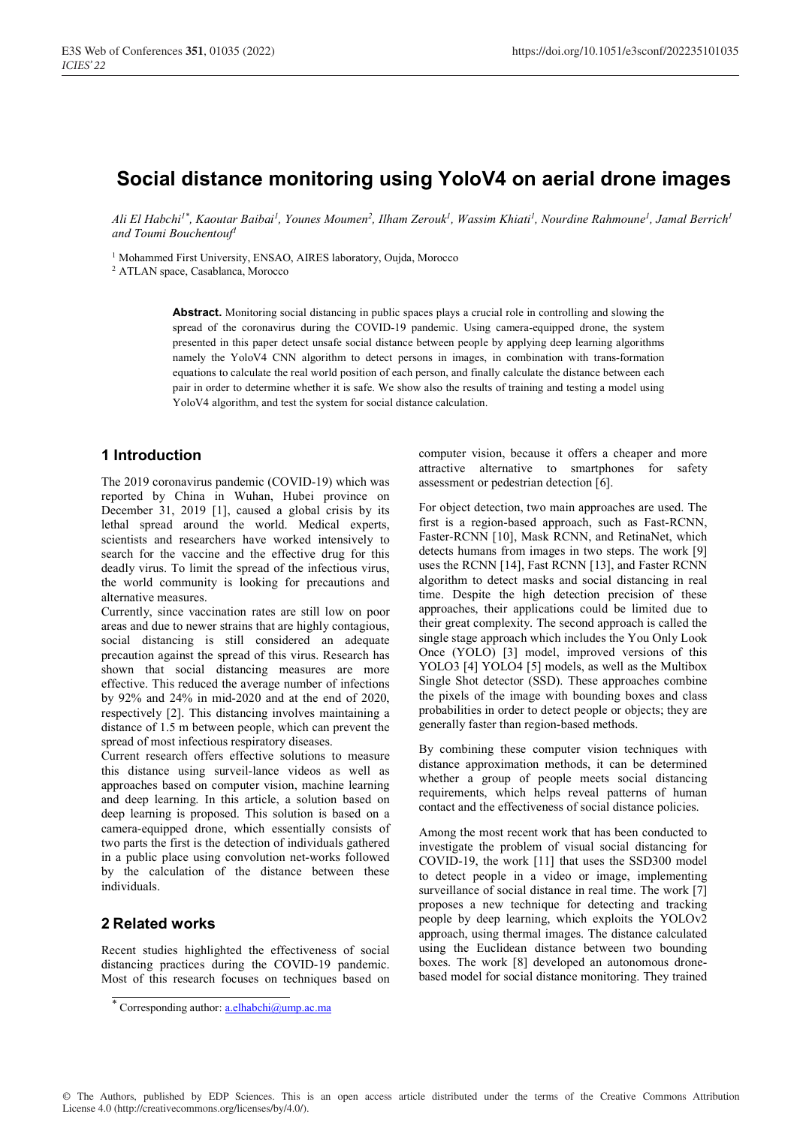# **Social distance monitoring using YoloV4 on aerial drone images**

*Ali El Habchi1\*, Kaoutar Baibai1 , Younes Moumen2 , Ilham Zerouk1 , Wassim Khiati1 , Nourdine Rahmoune1, Jamal Berrich1 and Toumi Bouchentouf1*

<sup>1</sup> Mohammed First University, ENSAO, AIRES laboratory, Oujda, Morocco

2 ATLAN space, Casablanca, Morocco

**Abstract.** Monitoring social distancing in public spaces plays a crucial role in controlling and slowing the spread of the coronavirus during the COVID-19 pandemic. Using camera-equipped drone, the system presented in this paper detect unsafe social distance between people by applying deep learning algorithms namely the YoloV4 CNN algorithm to detect persons in images, in combination with trans-formation equations to calculate the real world position of each person, and finally calculate the distance between each pair in order to determine whether it is safe. We show also the results of training and testing a model using YoloV4 algorithm, and test the system for social distance calculation.

## **1 Introduction**

The 2019 coronavirus pandemic (COVID-19) which was reported by China in Wuhan, Hubei province on December 31, 2019 [1], caused a global crisis by its lethal spread around the world. Medical experts, scientists and researchers have worked intensively to search for the vaccine and the effective drug for this deadly virus. To limit the spread of the infectious virus, the world community is looking for precautions and alternative measures.

Currently, since vaccination rates are still low on poor areas and due to newer strains that are highly contagious, social distancing is still considered an adequate precaution against the spread of this virus. Research has shown that social distancing measures are more effective. This reduced the average number of infections by 92% and 24% in mid-2020 and at the end of 2020, respectively [2]. This distancing involves maintaining a distance of 1.5 m between people, which can prevent the spread of most infectious respiratory diseases.

Current research offers effective solutions to measure this distance using surveil-lance videos as well as approaches based on computer vision, machine learning and deep learning. In this article, a solution based on deep learning is proposed. This solution is based on a camera-equipped drone, which essentially consists of two parts the first is the detection of individuals gathered in a public place using convolution net-works followed by the calculation of the distance between these individuals.

## **2 Related works**

Recent studies highlighted the effectiveness of social distancing practices during the COVID-19 pandemic. Most of this research focuses on techniques based on computer vision, because it offers a cheaper and more attractive alternative to smartphones for safety assessment or pedestrian detection [6].

For object detection, two main approaches are used. The first is a region-based approach, such as Fast-RCNN, Faster-RCNN [10], Mask RCNN, and RetinaNet, which detects humans from images in two steps. The work [9] uses the RCNN [14], Fast RCNN [13], and Faster RCNN algorithm to detect masks and social distancing in real time. Despite the high detection precision of these approaches, their applications could be limited due to their great complexity. The second approach is called the single stage approach which includes the You Only Look Once (YOLO) [3] model, improved versions of this YOLO3 [4] YOLO4 [5] models, as well as the Multibox Single Shot detector (SSD). These approaches combine the pixels of the image with bounding boxes and class probabilities in order to detect people or objects; they are generally faster than region-based methods.

By combining these computer vision techniques with distance approximation methods, it can be determined whether a group of people meets social distancing requirements, which helps reveal patterns of human contact and the effectiveness of social distance policies.

Among the most recent work that has been conducted to investigate the problem of visual social distancing for COVID-19, the work [11] that uses the SSD300 model to detect people in a video or image, implementing surveillance of social distance in real time. The work [7] proposes a new technique for detecting and tracking people by deep learning, which exploits the YOLOv2 approach, using thermal images. The distance calculated using the Euclidean distance between two bounding boxes. The work [8] developed an autonomous dronebased model for social distance monitoring. They trained

<sup>\*</sup> Corresponding author: **a.elhabchi@ump.ac.ma**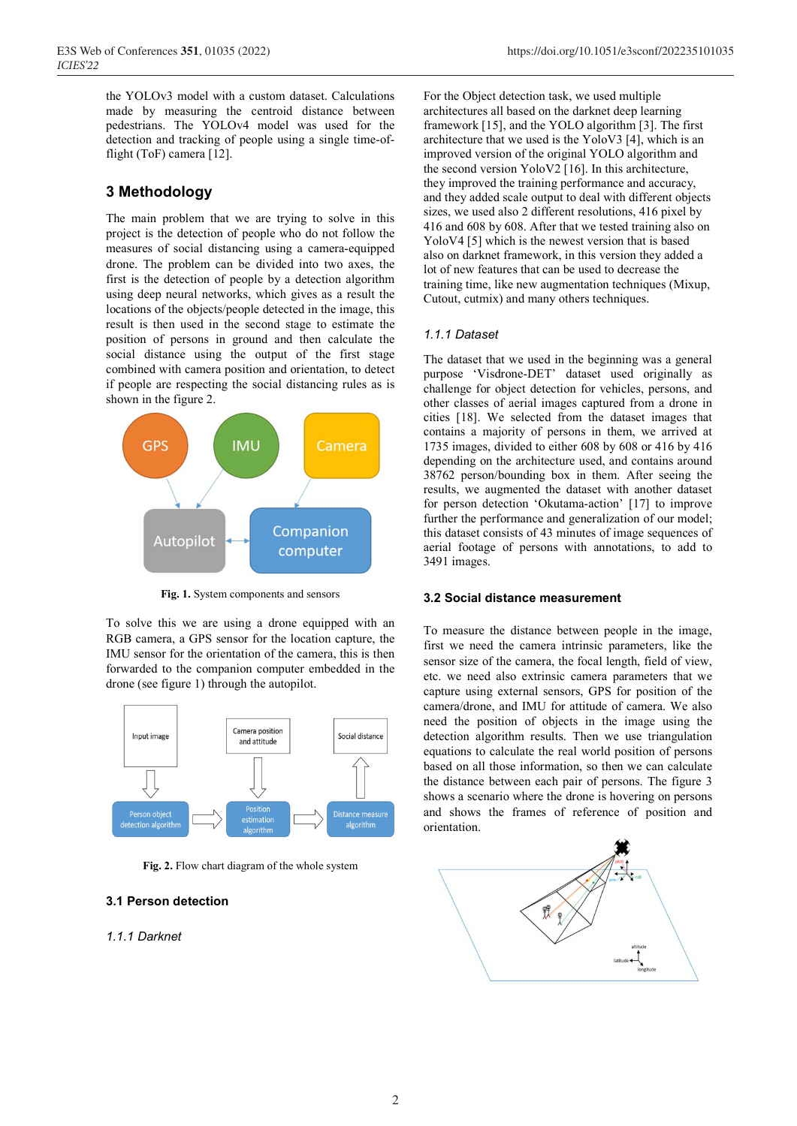the YOLOv3 model with a custom dataset. Calculations made by measuring the centroid distance between pedestrians. The YOLOv4 model was used for the detection and tracking of people using a single time-offlight (ToF) camera [12].

## **3 Methodology**

The main problem that we are trying to solve in this project is the detection of people who do not follow the measures of social distancing using a camera-equipped drone. The problem can be divided into two axes, the first is the detection of people by a detection algorithm using deep neural networks, which gives as a result the locations of the objects/people detected in the image, this result is then used in the second stage to estimate the position of persons in ground and then calculate the social distance using the output of the first stage combined with camera position and orientation, to detect if people are respecting the social distancing rules as is shown in the figure 2.



**Fig. 1.** System components and sensors

To solve this we are using a drone equipped with an RGB camera, a GPS sensor for the location capture, the IMU sensor for the orientation of the camera, this is then forwarded to the companion computer embedded in the drone (see figure 1) through the autopilot.



**Fig. 2.** Flow chart diagram of the whole system

## **3.1 Person detection**

### *1.1.1 Darknet*

For the Object detection task, we used multiple architectures all based on the darknet deep learning framework [15], and the YOLO algorithm [3]. The first architecture that we used is the YoloV3 [4], which is an improved version of the original YOLO algorithm and the second version YoloV2 [16]. In this architecture, they improved the training performance and accuracy, and they added scale output to deal with different objects sizes, we used also 2 different resolutions, 416 pixel by 416 and 608 by 608. After that we tested training also on YoloV4 [5] which is the newest version that is based also on darknet framework, in this version they added a lot of new features that can be used to decrease the training time, like new augmentation techniques (Mixup, Cutout, cutmix) and many others techniques.

#### *1.1.1 Dataset*

The dataset that we used in the beginning was a general purpose 'Visdrone-DET' dataset used originally as challenge for object detection for vehicles, persons, and other classes of aerial images captured from a drone in cities [18]. We selected from the dataset images that contains a majority of persons in them, we arrived at 1735 images, divided to either 608 by 608 or 416 by 416 depending on the architecture used, and contains around 38762 person/bounding box in them. After seeing the results, we augmented the dataset with another dataset for person detection 'Okutama-action' [17] to improve further the performance and generalization of our model; this dataset consists of 43 minutes of image sequences of aerial footage of persons with annotations, to add to 3491 images.

#### **3.2 Social distance measurement**

To measure the distance between people in the image, first we need the camera intrinsic parameters, like the sensor size of the camera, the focal length, field of view, etc. we need also extrinsic camera parameters that we capture using external sensors, GPS for position of the camera/drone, and IMU for attitude of camera. We also need the position of objects in the image using the detection algorithm results. Then we use triangulation equations to calculate the real world position of persons based on all those information, so then we can calculate the distance between each pair of persons. The figure 3 shows a scenario where the drone is hovering on persons and shows the frames of reference of position and orientation.

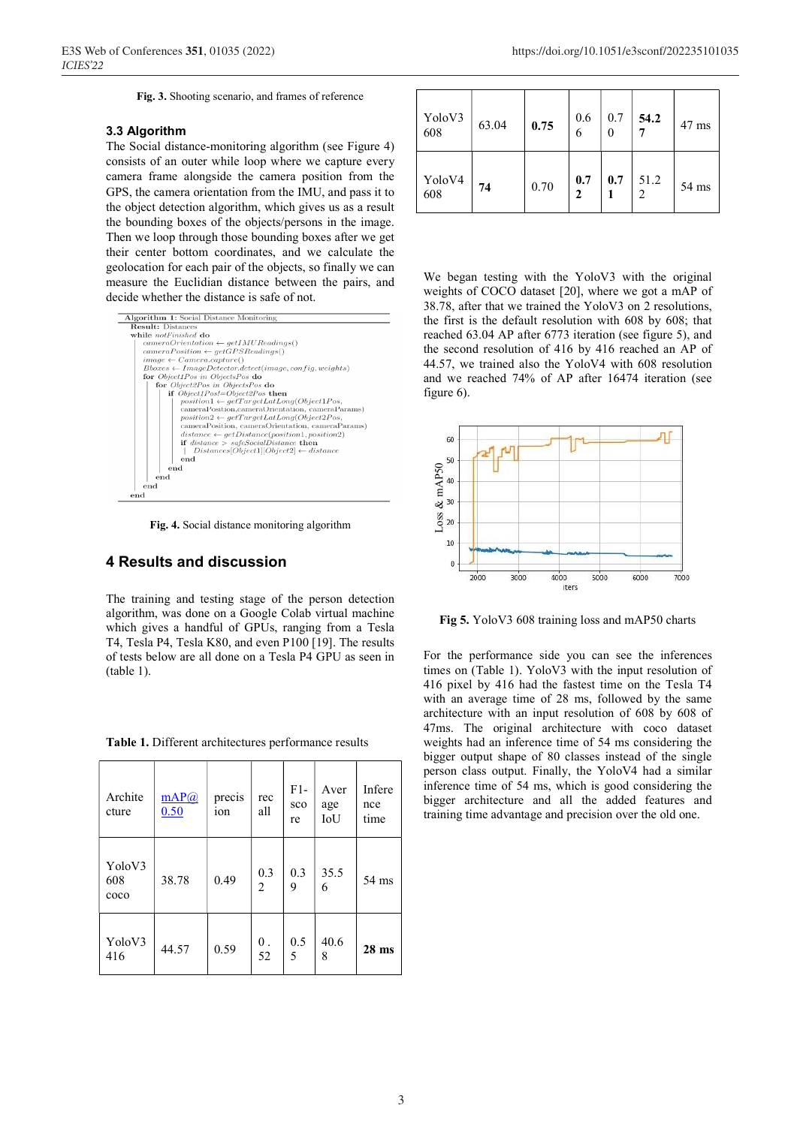**Fig. 3.** Shooting scenario, and frames of reference

#### **3.3 Algorithm**

The Social distance-monitoring algorithm (see Figure 4) consists of an outer while loop where we capture every camera frame alongside the camera position from the GPS, the camera orientation from the IMU, and pass it to the object detection algorithm, which gives us as a result the bounding boxes of the objects/persons in the image. Then we loop through those bounding boxes after we get their center bottom coordinates, and we calculate the geolocation for each pair of the objects, so finally we can measure the Euclidian distance between the pairs, and decide whether the distance is safe of not.



**Fig. 4.** Social distance monitoring algorithm

#### **4 Results and discussion**

The training and testing stage of the person detection algorithm, was done on a Google Colab virtual machine which gives a handful of GPUs, ranging from a Tesla T4, Tesla P4, Tesla K80, and even P100 [19]. The results of tests below are all done on a Tesla P4 GPU as seen in (table 1).

| Archite<br>cture                | mAP@<br>0.50 | precis<br>10n | rec<br>all | $F1-$<br>sco<br>re | Aver<br>age<br>IoU | Infere<br>nce<br>time |
|---------------------------------|--------------|---------------|------------|--------------------|--------------------|-----------------------|
| YoloV3<br>608<br>c <sub>0</sub> | 38.78        | 0.49          | 0.3<br>2   | 0.3<br>9           | 35.5<br>6          | $54 \text{ ms}$       |
| YoloV3<br>416                   | 44.57        | 0.59          | 0.<br>52   | 0.5<br>5           | 40.6<br>8          | $28$ ms               |

**Table 1.** Different architectures performance results

| YoloV3<br>608 | 63.04 | 0.75 | 0.6<br>6 | 0.7<br>0 | 54.2      | 47 ms |
|---------------|-------|------|----------|----------|-----------|-------|
| YoloV4<br>608 | 74    | 0.70 | 0.7<br>2 | 0.7      | 51.2<br>2 | 54 ms |

We began testing with the YoloV3 with the original weights of COCO dataset [20], where we got a mAP of 38.78, after that we trained the YoloV3 on 2 resolutions, the first is the default resolution with 608 by 608; that reached 63.04 AP after 6773 iteration (see figure 5), and the second resolution of 416 by 416 reached an AP of 44.57, we trained also the YoloV4 with 608 resolution and we reached 74% of AP after 16474 iteration (see figure 6).



**Fig 5.** YoloV3 608 training loss and mAP50 charts

For the performance side you can see the inferences times on (Table 1). YoloV3 with the input resolution of 416 pixel by 416 had the fastest time on the Tesla T4 with an average time of 28 ms, followed by the same architecture with an input resolution of 608 by 608 of 47ms. The original architecture with coco dataset weights had an inference time of 54 ms considering the bigger output shape of 80 classes instead of the single person class output. Finally, the YoloV4 had a similar inference time of 54 ms, which is good considering the bigger architecture and all the added features and Ex 40<br>  $\frac{1}{200}$ <br>  $\frac{2}{300}$ <br>  $\frac{2}{300}$ <br>  $\frac{2}{3000}$ <br>  $\frac{3000}{3000}$ <br>  $\frac{4000}{3000}$ <br>  $\frac{5000}{3000}$ <br>  $\frac{400}{3000}$ <br>  $\frac{400}{3000}$ <br>  $\frac{400}{3000}$ <br>  $\frac{400}{3000}$ <br>  $\frac{400}{3000}$ <br>  $\frac{400}{3000}$ <br>  $\frac{400}{3000}$